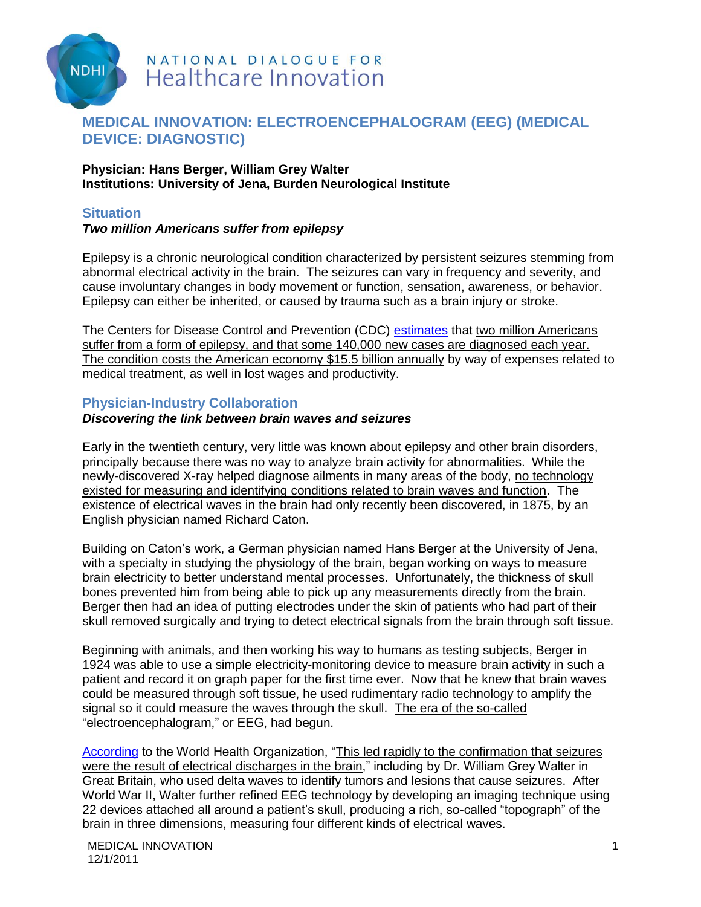

# NATIONAL DIALOGUE FOR **Healthcare Innovation**

## **MEDICAL INNOVATION: ELECTROENCEPHALOGRAM (EEG) (MEDICAL DEVICE: DIAGNOSTIC)**

#### **Physician: Hans Berger, William Grey Walter Institutions: University of Jena, Burden Neurological Institute**

#### **Situation**

#### *Two million Americans suffer from epilepsy*

Epilepsy is a chronic neurological condition characterized by persistent seizures stemming from abnormal electrical activity in the brain. The seizures can vary in frequency and severity, and cause involuntary changes in body movement or function, sensation, awareness, or behavior. Epilepsy can either be inherited, or caused by trauma such as a brain injury or stroke.

The Centers for Disease Control and Prevention (CDC) [estimates](http://www.cdc.gov/epilepsy/) that two million Americans suffer from a form of epilepsy, and that some 140,000 new cases are diagnosed each year. The condition costs the American economy \$15.5 billion annually by way of expenses related to medical treatment, as well in lost wages and productivity.

#### **Physician-Industry Collaboration**

#### *Discovering the link between brain waves and seizures*

Early in the twentieth century, very little was known about epilepsy and other brain disorders, principally because there was no way to analyze brain activity for abnormalities. While the newly-discovered X-ray helped diagnose ailments in many areas of the body, no technology existed for measuring and identifying conditions related to brain waves and function. The existence of electrical waves in the brain had only recently been discovered, in 1875, by an English physician named Richard Caton.

Building on Caton"s work, a German physician named Hans Berger at the University of Jena, with a specialty in studying the physiology of the brain, began working on ways to measure brain electricity to better understand mental processes. Unfortunately, the thickness of skull bones prevented him from being able to pick up any measurements directly from the brain. Berger then had an idea of putting electrodes under the skin of patients who had part of their skull removed surgically and trying to detect electrical signals from the brain through soft tissue.

Beginning with animals, and then working his way to humans as testing subjects, Berger in 1924 was able to use a simple electricity-monitoring device to measure brain activity in such a patient and record it on graph paper for the first time ever. Now that he knew that brain waves could be measured through soft tissue, he used rudimentary radio technology to amplify the signal so it could measure the waves through the skull. The era of the so-called "electroencephalogram," or EEG, had begun.

[According](http://www.who.int/mental_health/neurology/Epilepsy_atlas_r1.pdf) to the World Health Organization, "This led rapidly to the confirmation that seizures were the result of electrical discharges in the brain," including by Dr. William Grey Walter in Great Britain, who used delta waves to identify tumors and lesions that cause seizures. After World War II, Walter further refined EEG technology by developing an imaging technique using 22 devices attached all around a patient"s skull, producing a rich, so-called "topograph" of the brain in three dimensions, measuring four different kinds of electrical waves.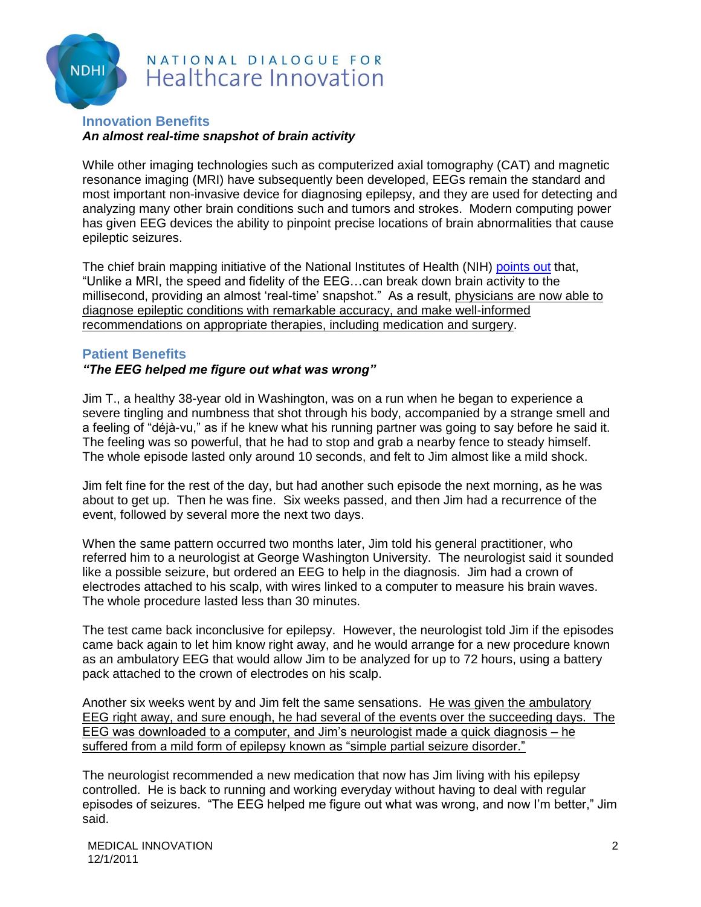

# NATIONAL DIALOGUE FOR **Healthcare Innovation**

#### **Innovation Benefits** *An almost real-time snapshot of brain activity*

While other imaging technologies such as computerized axial tomography (CAT) and magnetic resonance imaging (MRI) have subsequently been developed, EEGs remain the standard and most important non-invasive device for diagnosing epilepsy, and they are used for detecting and analyzing many other brain conditions such and tumors and strokes. Modern computing power has given EEG devices the ability to pinpoint precise locations of brain abnormalities that cause epileptic seizures.

The chief brain mapping initiative of the National Institutes of Health (NIH) [points out](http://humanconnectome.org/about/pressroom/the-science-of-connectome/hello-world/) that, "Unlike a MRI, the speed and fidelity of the EEG…can break down brain activity to the millisecond, providing an almost 'real-time' snapshot." As a result, physicians are now able to diagnose epileptic conditions with remarkable accuracy, and make well-informed recommendations on appropriate therapies, including medication and surgery.

### **Patient Benefits**

### *"The EEG helped me figure out what was wrong"*

Jim T., a healthy 38-year old in Washington, was on a run when he began to experience a severe tingling and numbness that shot through his body, accompanied by a strange smell and a feeling of "déjà-vu," as if he knew what his running partner was going to say before he said it. The feeling was so powerful, that he had to stop and grab a nearby fence to steady himself. The whole episode lasted only around 10 seconds, and felt to Jim almost like a mild shock.

Jim felt fine for the rest of the day, but had another such episode the next morning, as he was about to get up. Then he was fine. Six weeks passed, and then Jim had a recurrence of the event, followed by several more the next two days.

When the same pattern occurred two months later, Jim told his general practitioner, who referred him to a neurologist at George Washington University. The neurologist said it sounded like a possible seizure, but ordered an EEG to help in the diagnosis. Jim had a crown of electrodes attached to his scalp, with wires linked to a computer to measure his brain waves. The whole procedure lasted less than 30 minutes.

The test came back inconclusive for epilepsy. However, the neurologist told Jim if the episodes came back again to let him know right away, and he would arrange for a new procedure known as an ambulatory EEG that would allow Jim to be analyzed for up to 72 hours, using a battery pack attached to the crown of electrodes on his scalp.

Another six weeks went by and Jim felt the same sensations. He was given the ambulatory EEG right away, and sure enough, he had several of the events over the succeeding days. The EEG was downloaded to a computer, and Jim"s neurologist made a quick diagnosis – he suffered from a mild form of epilepsy known as "simple partial seizure disorder."

The neurologist recommended a new medication that now has Jim living with his epilepsy controlled. He is back to running and working everyday without having to deal with regular episodes of seizures. "The EEG helped me figure out what was wrong, and now I"m better," Jim said.